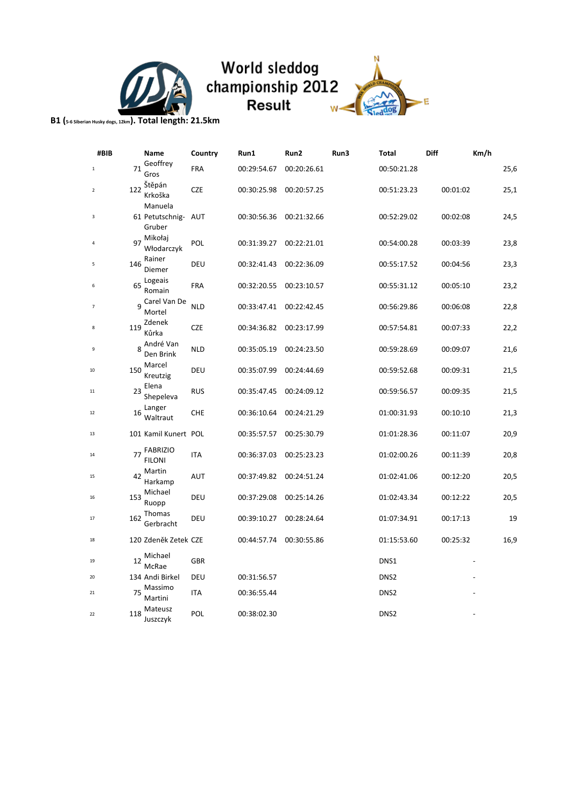

# World sleddog<br>championship 2012<br>Result



**B1 (5-6 Siberian Husky dogs, 12km). Total length: 21.5km**

| #BIB           |     | Name                                 | Country    | Run1        | Run2        | Run3 | Total            | <b>Diff</b> | Km/h |
|----------------|-----|--------------------------------------|------------|-------------|-------------|------|------------------|-------------|------|
| $\,1\,$        | 71  | Geoffrey<br>Gros                     | <b>FRA</b> | 00:29:54.67 | 00:20:26.61 |      | 00:50:21.28      |             | 25,6 |
| $\overline{2}$ | 122 | Stěpán<br>Krkoška                    | <b>CZE</b> | 00:30:25.98 | 00:20:57.25 |      | 00:51:23.23      | 00:01:02    | 25,1 |
| 3              |     | Manuela<br>61 Petutschnig-<br>Gruber | AUT        | 00:30:56.36 | 00:21:32.66 |      | 00:52:29.02      | 00:02:08    | 24,5 |
| $\overline{4}$ | 97  | Mikołaj<br>Włodarczyk                | POL        | 00:31:39.27 | 00:22:21.01 |      | 00:54:00.28      | 00:03:39    | 23,8 |
| 5              | 146 | Rainer<br>Diemer                     | DEU        | 00:32:41.43 | 00:22:36.09 |      | 00:55:17.52      | 00:04:56    | 23,3 |
| 6              | 65  | Logeais<br>Romain                    | FRA        | 00:32:20.55 | 00:23:10.57 |      | 00:55:31.12      | 00:05:10    | 23,2 |
| 7              | 9   | Carel Van De<br>Mortel               | <b>NLD</b> | 00:33:47.41 | 00:22:42.45 |      | 00:56:29.86      | 00:06:08    | 22,8 |
| 8              | 119 | Zdenek<br>Kůrka                      | <b>CZE</b> | 00:34:36.82 | 00:23:17.99 |      | 00:57:54.81      | 00:07:33    | 22,2 |
| 9              | 8   | André Van<br>Den Brink               | <b>NLD</b> | 00:35:05.19 | 00:24:23.50 |      | 00:59:28.69      | 00:09:07    | 21,6 |
| 10             | 150 | Marcel<br>Kreutzig                   | DEU        | 00:35:07.99 | 00:24:44.69 |      | 00:59:52.68      | 00:09:31    | 21,5 |
| 11             | 23  | Elena<br>Shepeleva                   | <b>RUS</b> | 00:35:47.45 | 00:24:09.12 |      | 00:59:56.57      | 00:09:35    | 21,5 |
| 12             | 16  | Langer<br>Waltraut                   | <b>CHE</b> | 00:36:10.64 | 00:24:21.29 |      | 01:00:31.93      | 00:10:10    | 21,3 |
| 13             |     | 101 Kamil Kunert POL                 |            | 00:35:57.57 | 00:25:30.79 |      | 01:01:28.36      | 00:11:07    | 20,9 |
| 14             | 77  | <b>FABRIZIO</b><br><b>FILONI</b>     | <b>ITA</b> | 00:36:37.03 | 00:25:23.23 |      | 01:02:00.26      | 00:11:39    | 20,8 |
| 15             | 42  | Martin<br>Harkamp                    | AUT        | 00:37:49.82 | 00:24:51.24 |      | 01:02:41.06      | 00:12:20    | 20,5 |
| 16             | 153 | Michael<br>Ruopp                     | DEU        | 00:37:29.08 | 00:25:14.26 |      | 01:02:43.34      | 00:12:22    | 20,5 |
| 17             | 162 | Thomas<br>Gerbracht                  | DEU        | 00:39:10.27 | 00:28:24.64 |      | 01:07:34.91      | 00:17:13    | 19   |
| 18             |     | 120 Zdeněk Zetek CZE                 |            | 00:44:57.74 | 00:30:55.86 |      | 01:15:53.60      | 00:25:32    | 16,9 |
| 19             | 12  | Michael<br>McRae                     | GBR        |             |             |      | DNS1             |             |      |
| 20             |     | 134 Andi Birkel                      | DEU        | 00:31:56.57 |             |      | DNS <sub>2</sub> |             |      |
| 21             | 75  | Massimo<br>Martini                   | ITA        | 00:36:55.44 |             |      | DNS <sub>2</sub> |             |      |
| 22             | 118 | Mateusz<br>Juszczyk                  | <b>POL</b> | 00:38:02.30 |             |      | DNS <sub>2</sub> |             |      |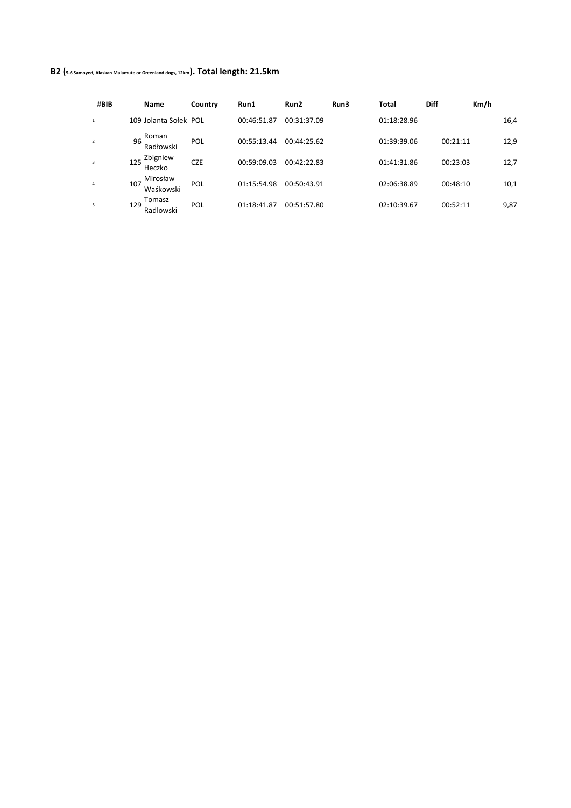## **B2 (5-6 Samoyed, Alaskan Malamute or Greenland dogs, 12km). Total length: 21.5km**

| #BIB           | <b>Name</b>   |                       | Country    | Run1        | Run2        | Run3 | Total       | <b>Diff</b> | Km/h |      |
|----------------|---------------|-----------------------|------------|-------------|-------------|------|-------------|-------------|------|------|
| $\mathbf{1}$   |               | 109 Jolanta Sołek POL |            | 00:46:51.87 | 00:31:37.09 |      | 01:18:28.96 |             |      | 16,4 |
| $\overline{2}$ | Roman<br>96   | Radłowski             | POL        | 00:55:13.44 | 00:44:25.62 |      | 01:39:39.06 | 00:21:11    |      | 12,9 |
| 3              | 125<br>Heczko | Zbigniew              | <b>CZE</b> | 00:59:09.03 | 00:42:22.83 |      | 01:41:31.86 | 00:23:03    |      | 12,7 |
| 4              | 107           | Mirosław<br>Waśkowski | POL        | 01:15:54.98 | 00:50:43.91 |      | 02:06:38.89 | 00:48:10    |      | 10,1 |
| 5              | Tomasz<br>129 | Radlowski             | POL        | 01:18:41.87 | 00:51:57.80 |      | 02:10:39.67 | 00:52:11    |      | 9,87 |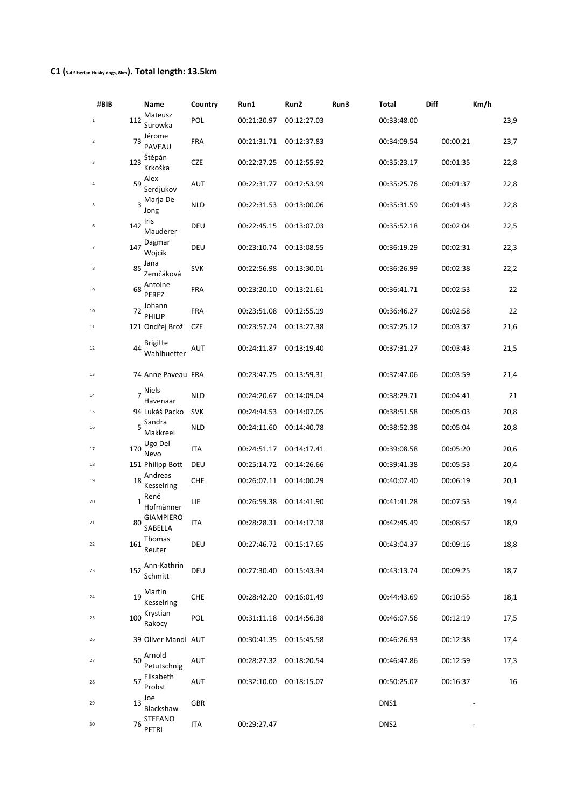## **C1 (3-4 Siberian Husky dogs, 8km). Total length: 13.5km**

| #BIB |                | Name                           | Country    | Run1        | Run2        | Run3 | Total            | Diff     | Km/h |
|------|----------------|--------------------------------|------------|-------------|-------------|------|------------------|----------|------|
| 1    | 112            | Mateusz<br>Surowka             | POL        | 00:21:20.97 | 00:12:27.03 |      | 00:33:48.00      |          | 23,9 |
| 2    | 73             | Jérome<br><b>PAVEAU</b>        | <b>FRA</b> | 00:21:31.71 | 00:12:37.83 |      | 00:34:09.54      | 00:00:21 | 23,7 |
| 3    | 123            | Stěpán<br>Krkoška              | <b>CZE</b> | 00:22:27.25 | 00:12:55.92 |      | 00:35:23.17      | 00:01:35 | 22,8 |
| 4    | 59             | Alex<br>Serdjukov              | AUT        | 00:22:31.77 | 00:12:53.99 |      | 00:35:25.76      | 00:01:37 | 22,8 |
| 5    |                | 3 Marja De<br>Jong             | <b>NLD</b> | 00:22:31.53 | 00:13:00.06 |      | 00:35:31.59      | 00:01:43 | 22,8 |
| 6    | 142            | Iris<br>Mauderer               | DEU        | 00:22:45.15 | 00:13:07.03 |      | 00:35:52.18      | 00:02:04 | 22,5 |
| 7    | 147            | Dagmar<br>Wojcik               | DEU        | 00:23:10.74 | 00:13:08.55 |      | 00:36:19.29      | 00:02:31 | 22,3 |
| 8    | 85             | Jana<br>Zemčáková              | <b>SVK</b> | 00:22:56.98 | 00:13:30.01 |      | 00:36:26.99      | 00:02:38 | 22,2 |
| 9    | 68             | Antoine<br>PEREZ               | <b>FRA</b> | 00:23:20.10 | 00:13:21.61 |      | 00:36:41.71      | 00:02:53 | 22   |
| 10   | 72             | Johann<br>PHILIP               | <b>FRA</b> | 00:23:51.08 | 00:12:55.19 |      | 00:36:46.27      | 00:02:58 | 22   |
| 11   |                | 121 Ondřej Brož                | <b>CZE</b> | 00:23:57.74 | 00:13:27.38 |      | 00:37:25.12      | 00:03:37 | 21,6 |
| 12   | 44             | <b>Brigitte</b><br>Wahlhuetter | AUT        | 00:24:11.87 | 00:13:19.40 |      | 00:37:31.27      | 00:03:43 | 21,5 |
| 13   |                | 74 Anne Paveau FRA             |            | 00:23:47.75 | 00:13:59.31 |      | 00:37:47.06      | 00:03:59 | 21,4 |
| 14   | $\overline{7}$ | Niels<br>Havenaar              | <b>NLD</b> | 00:24:20.67 | 00:14:09.04 |      | 00:38:29.71      | 00:04:41 | 21   |
| 15   |                | 94 Lukáš Packo                 | <b>SVK</b> | 00:24:44.53 | 00:14:07.05 |      | 00:38:51.58      | 00:05:03 | 20,8 |
| 16   |                | Sandra<br>Makkreel             | <b>NLD</b> | 00:24:11.60 | 00:14:40.78 |      | 00:38:52.38      | 00:05:04 | 20,8 |
| 17   | 170            | Ugo Del<br>Nevo                | ITA        | 00:24:51.17 | 00:14:17.41 |      | 00:39:08.58      | 00:05:20 | 20,6 |
| 18   |                | 151 Philipp Bott               | DEU        | 00:25:14.72 | 00:14:26.66 |      | 00:39:41.38      | 00:05:53 | 20,4 |
| 19   | 18             | Andreas<br>Kesselring          | <b>CHE</b> | 00:26:07.11 | 00:14:00.29 |      | 00:40:07.40      | 00:06:19 | 20,1 |
| 20   | 1              | René<br>Hofmänner              | LIE        | 00:26:59.38 | 00:14:41.90 |      | 00:41:41.28      | 00:07:53 | 19,4 |
| 21   | 80             | <b>GIAMPIERO</b><br>SABELLA    | ITA        | 00:28:28.31 | 00:14:17.18 |      | 00:42:45.49      | 00:08:57 | 18,9 |
| 22   | 161            | Thomas<br>Reuter               | DEU        | 00:27:46.72 | 00:15:17.65 |      | 00:43:04.37      | 00:09:16 | 18,8 |
| 23   | 152            | Ann-Kathrin<br>Schmitt         | DEU        | 00:27:30.40 | 00:15:43.34 |      | 00:43:13.74      | 00:09:25 | 18,7 |
| 24   | 19             | Martin<br>Kesselring           | <b>CHE</b> | 00:28:42.20 | 00:16:01.49 |      | 00:44:43.69      | 00:10:55 | 18,1 |
| 25   | 100            | Krystian<br>Rakocy             | <b>POL</b> | 00:31:11.18 | 00:14:56.38 |      | 00:46:07.56      | 00:12:19 | 17,5 |
| 26   |                | 39 Oliver Mandl AUT            |            | 00:30:41.35 | 00:15:45.58 |      | 00:46:26.93      | 00:12:38 | 17,4 |
| 27   | 50             | Arnold<br>Petutschnig          | AUT        | 00:28:27.32 | 00:18:20.54 |      | 00:46:47.86      | 00:12:59 | 17,3 |
| 28   | 57             | Elisabeth<br>Probst            | AUT        | 00:32:10.00 | 00:18:15.07 |      | 00:50:25.07      | 00:16:37 | 16   |
| 29   | 13             | Joe<br>Blackshaw               | GBR        |             |             |      | DNS1             |          |      |
| 30   | 76             | <b>STEFANO</b><br>PETRI        | ITA        | 00:29:27.47 |             |      | DNS <sub>2</sub> |          |      |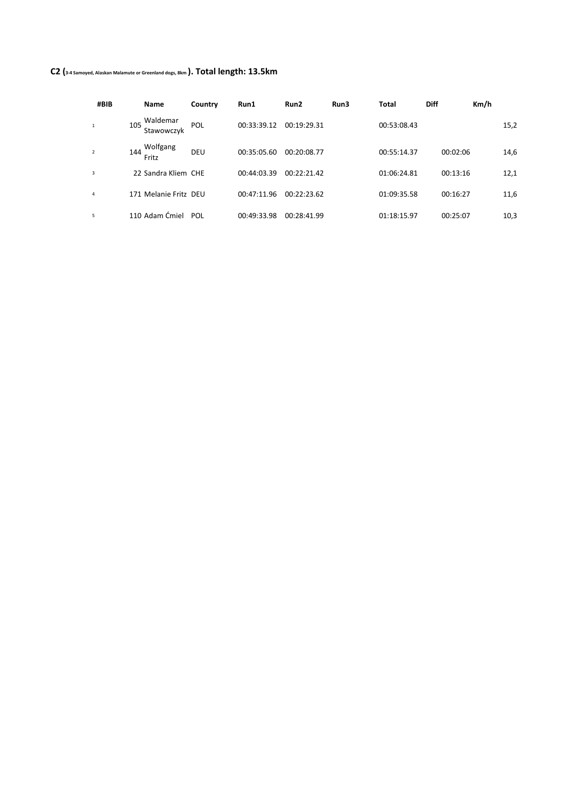## **C2 (3-4 Samoyed, Alaskan Malamute or Greenland dogs, 8km ). Total length: 13.5km**

| #BIB           |     | <b>Name</b>            | Country | Run1        | Run2        | Run3 | Total       | <b>Diff</b> | Km/h |      |
|----------------|-----|------------------------|---------|-------------|-------------|------|-------------|-------------|------|------|
| $\mathbf{1}$   | 105 | Waldemar<br>Stawowczyk | POL     | 00:33:39.12 | 00:19:29.31 |      | 00:53:08.43 |             |      | 15,2 |
| $\overline{2}$ | 144 | Wolfgang<br>Fritz      | DEU     | 00:35:05.60 | 00:20:08.77 |      | 00:55:14.37 | 00:02:06    |      | 14,6 |
| 3              |     | 22 Sandra Kliem CHE    |         | 00:44:03.39 | 00:22:21.42 |      | 01:06:24.81 | 00:13:16    |      | 12,1 |
| 4              |     | 171 Melanie Fritz DEU  |         | 00:47:11.96 | 00:22:23.62 |      | 01:09:35.58 | 00:16:27    |      | 11,6 |
| 5              |     | 110 Adam Ćmiel         | POL     | 00:49:33.98 | 00:28:41.99 |      | 01:18:15.97 | 00:25:07    |      | 10,3 |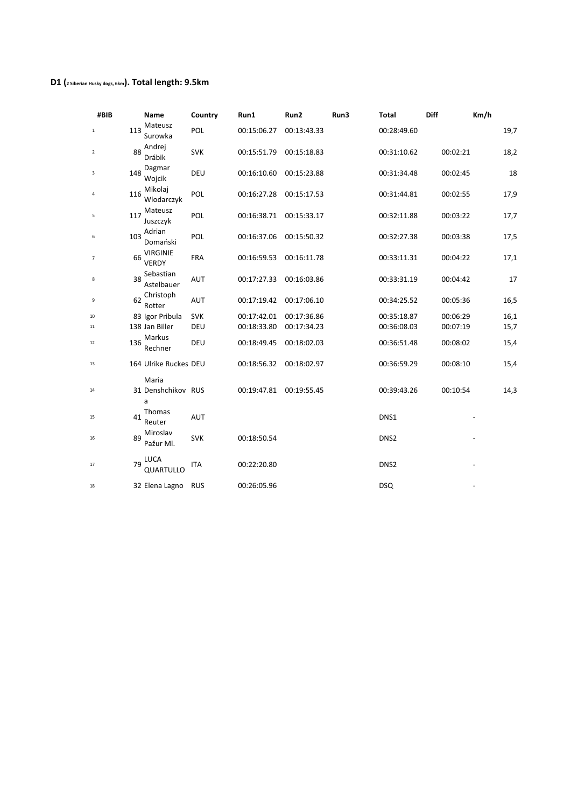## **D1 (2 Siberian Husky dogs, 6km). Total length: 9.5km**

| #BIB           |     | Name                             | Country    | Run1        | Run2        | Run3 | <b>Total</b>     | Diff     | Km/h |
|----------------|-----|----------------------------------|------------|-------------|-------------|------|------------------|----------|------|
| $\mathbf{1}$   | 113 | Mateusz<br>Surowka               | POL        | 00:15:06.27 | 00:13:43.33 |      | 00:28:49.60      |          | 19,7 |
| $\overline{2}$ | 88  | Andrej<br>Drábik                 | <b>SVK</b> | 00:15:51.79 | 00:15:18.83 |      | 00:31:10.62      | 00:02:21 | 18,2 |
| 3              | 148 | Dagmar<br>Wojcik                 | DEU        | 00:16:10.60 | 00:15:23.88 |      | 00:31:34.48      | 00:02:45 | 18   |
| 4              | 116 | Mikolaj<br>Wlodarczyk            | POL        | 00:16:27.28 | 00:15:17.53 |      | 00:31:44.81      | 00:02:55 | 17,9 |
| 5              | 117 | Mateusz<br>Juszczyk              | POL        | 00:16:38.71 | 00:15:33.17 |      | 00:32:11.88      | 00:03:22 | 17,7 |
| 6              | 103 | Adrian<br>Domański               | POL        | 00:16:37.06 | 00:15:50.32 |      | 00:32:27.38      | 00:03:38 | 17,5 |
| 7              | 66  | <b>VIRGINIE</b><br><b>VERDY</b>  | FRA        | 00:16:59.53 | 00:16:11.78 |      | 00:33:11.31      | 00:04:22 | 17,1 |
| 8              | 38  | Sebastian<br>Astelbauer          | <b>AUT</b> | 00:17:27.33 | 00:16:03.86 |      | 00:33:31.19      | 00:04:42 | 17   |
| 9              | 62  | Christoph<br>Rotter              | <b>AUT</b> | 00:17:19.42 | 00:17:06.10 |      | 00:34:25.52      | 00:05:36 | 16,5 |
| 10             |     | 83 Igor Pribula                  | <b>SVK</b> | 00:17:42.01 | 00:17:36.86 |      | 00:35:18.87      | 00:06:29 | 16,1 |
| 11             |     | 138 Jan Biller                   | DEU        | 00:18:33.80 | 00:17:34.23 |      | 00:36:08.03      | 00:07:19 | 15,7 |
| 12             | 136 | Markus<br>Rechner                | DEU        | 00:18:49.45 | 00:18:02.03 |      | 00:36:51.48      | 00:08:02 | 15,4 |
| 13             |     | 164 Ulrike Ruckes DEU            |            | 00:18:56.32 | 00:18:02.97 |      | 00:36:59.29      | 00:08:10 | 15,4 |
| 14             |     | Maria<br>31 Denshchikov RUS<br>a |            | 00:19:47.81 | 00:19:55.45 |      | 00:39:43.26      | 00:10:54 | 14,3 |
| 15             | 41  | Thomas<br>Reuter                 | <b>AUT</b> |             |             |      | DNS1             |          |      |
| 16             | 89  | Miroslav<br>Pažur Ml.            | <b>SVK</b> | 00:18:50.54 |             |      | DNS <sub>2</sub> |          |      |
| 17             | 79  | LUCA<br>QUARTULLO                | <b>ITA</b> | 00:22:20.80 |             |      | DNS <sub>2</sub> |          |      |
| 18             |     | 32 Elena Lagno                   | <b>RUS</b> | 00:26:05.96 |             |      | <b>DSQ</b>       |          |      |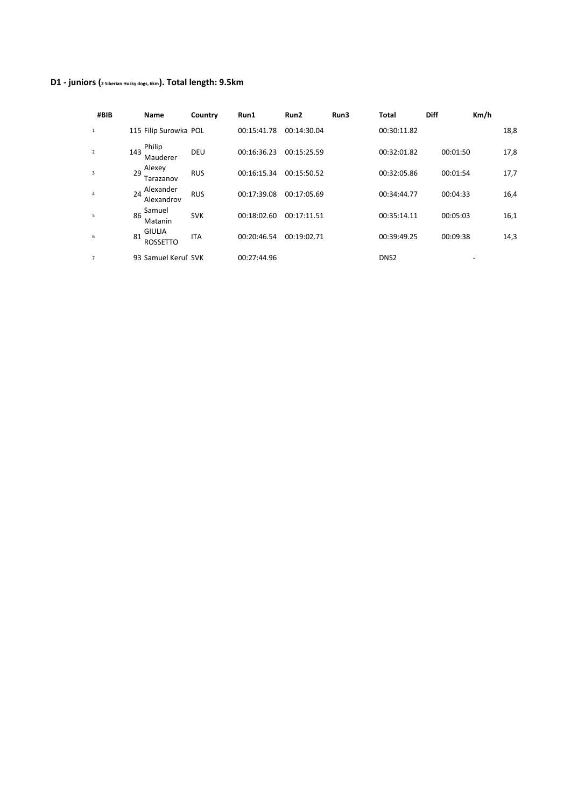# **D1 - juniors (2 Siberian Husky dogs, 6km). Total length: 9.5km**

| #BIB           |     | <b>Name</b>                      | Country    | Run1        | Run2        | Run3 | Total            | <b>Diff</b> | Km/h |
|----------------|-----|----------------------------------|------------|-------------|-------------|------|------------------|-------------|------|
| $\mathbf{1}$   |     | 115 Filip Surowka POL            |            | 00:15:41.78 | 00:14:30.04 |      | 00:30:11.82      |             | 18,8 |
| $\overline{2}$ | 143 | Philip<br>Mauderer               | DEU        | 00:16:36.23 | 00:15:25.59 |      | 00:32:01.82      | 00:01:50    | 17,8 |
| 3              | 29  | Alexey<br>Tarazanov              | <b>RUS</b> | 00:16:15.34 | 00:15:50.52 |      | 00:32:05.86      | 00:01:54    | 17,7 |
| 4              | 24  | Alexander<br>Alexandrov          | <b>RUS</b> | 00:17:39.08 | 00:17:05.69 |      | 00:34:44.77      | 00:04:33    | 16,4 |
| 5              | 86  | Samuel<br>Matanin                | <b>SVK</b> | 00:18:02.60 | 00:17:11.51 |      | 00:35:14.11      | 00:05:03    | 16,1 |
| 6              | 81  | <b>GIULIA</b><br><b>ROSSETTO</b> | <b>ITA</b> | 00:20:46.54 | 00:19:02.71 |      | 00:39:49.25      | 00:09:38    | 14,3 |
| $\overline{7}$ |     | 93 Samuel Keruľ SVK              |            | 00:27:44.96 |             |      | DNS <sub>2</sub> |             |      |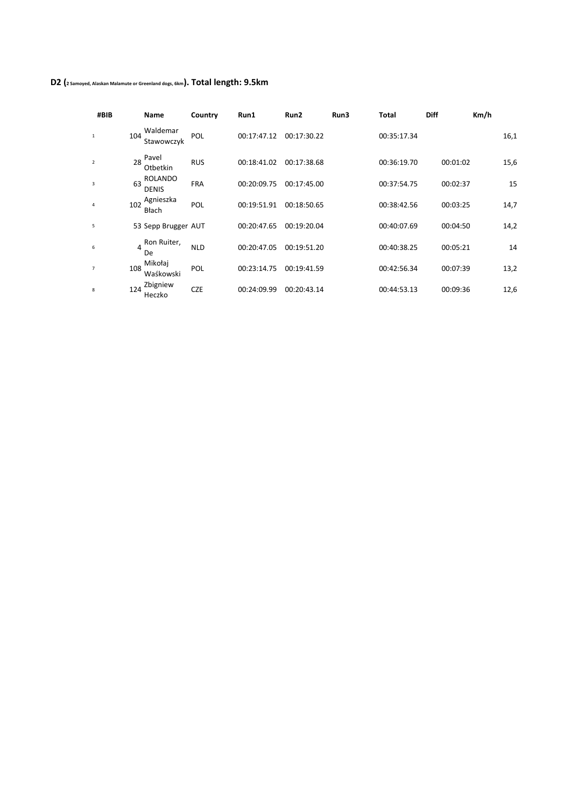## **D2 (2 Samoyed, Alaskan Malamute or Greenland dogs, 6km). Total length: 9.5km**

| #BIB                    |          | Name                    | Country    | Run1        | Run <sub>2</sub> | Run3 | Total       | <b>Diff</b> | Km/h |
|-------------------------|----------|-------------------------|------------|-------------|------------------|------|-------------|-------------|------|
| 1                       | 104      | Waldemar<br>Stawowczyk  | POL        | 00:17:47.12 | 00:17:30.22      |      | 00:35:17.34 |             | 16,1 |
| $\overline{2}$          | 28       | Pavel<br>Otbetkin       | <b>RUS</b> | 00:18:41.02 | 00:17:38.68      |      | 00:36:19.70 | 00:01:02    | 15,6 |
| $\overline{\mathbf{3}}$ | 63       | ROLANDO<br><b>DENIS</b> | <b>FRA</b> | 00:20:09.75 | 00:17:45.00      |      | 00:37:54.75 | 00:02:37    | 15   |
| $\overline{4}$          | 102      | Agnieszka<br>Błach      | POL        | 00:19:51.91 | 00:18:50.65      |      | 00:38:42.56 | 00:03:25    | 14,7 |
| 5                       |          | 53 Sepp Brugger AUT     |            | 00:20:47.65 | 00:19:20.04      |      | 00:40:07.69 | 00:04:50    | 14,2 |
| 6                       | 4<br>De. | Ron Ruiter,             | <b>NLD</b> | 00:20:47.05 | 00:19:51.20      |      | 00:40:38.25 | 00:05:21    | 14   |
| $\overline{7}$          | 108      | Mikołaj<br>Waśkowski    | POL        | 00:23:14.75 | 00:19:41.59      |      | 00:42:56.34 | 00:07:39    | 13,2 |
| 8                       | 124      | Zbigniew<br>Heczko      | <b>CZE</b> | 00:24:09.99 | 00:20:43.14      |      | 00:44:53.13 | 00:09:36    | 12,6 |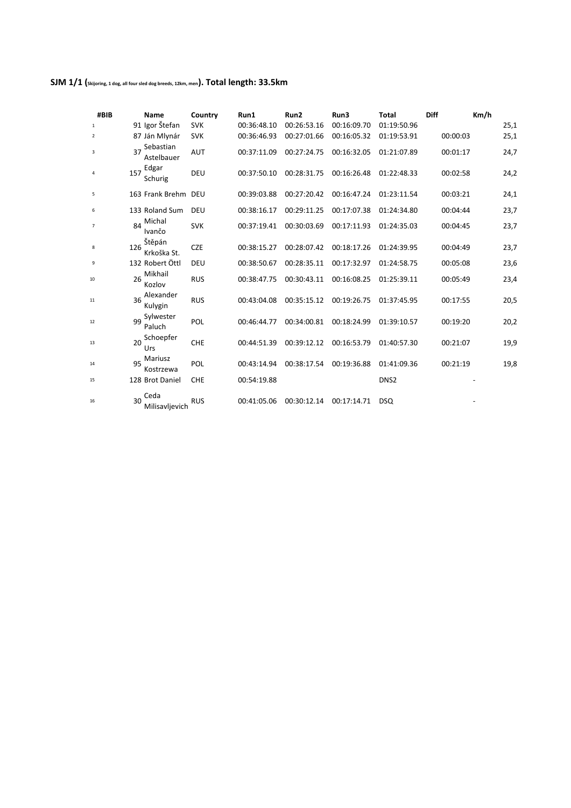## **SJM 1/1 (Skijoring, 1 dog, all four sled dog breeds, 12km, men). Total length: 33.5km**

| #BIB           |     | <b>Name</b>             | Country    | Run1        | Run <sub>2</sub> | Run3        | Total            | <b>Diff</b> | Km/h |
|----------------|-----|-------------------------|------------|-------------|------------------|-------------|------------------|-------------|------|
| $\mathbf{1}$   |     | 91 Igor Štefan          | <b>SVK</b> | 00:36:48.10 | 00:26:53.16      | 00:16:09.70 | 01:19:50.96      |             | 25,1 |
| 2              |     | 87 Ján Mlynár           | <b>SVK</b> | 00:36:46.93 | 00:27:01.66      | 00:16:05.32 | 01:19:53.91      | 00:00:03    | 25,1 |
| 3              | 37  | Sebastian<br>Astelbauer | <b>AUT</b> | 00:37:11.09 | 00:27:24.75      | 00:16:32.05 | 01:21:07.89      | 00:01:17    | 24,7 |
| 4              | 157 | Edgar<br>Schurig        | DEU        | 00:37:50.10 | 00:28:31.75      | 00:16:26.48 | 01:22:48.33      | 00:02:58    | 24,2 |
| 5              |     | 163 Frank Brehm DEU     |            | 00:39:03.88 | 00:27:20.42      | 00:16:47.24 | 01:23:11.54      | 00:03:21    | 24,1 |
| 6              |     | 133 Roland Sum          | DEU        | 00:38:16.17 | 00:29:11.25      | 00:17:07.38 | 01:24:34.80      | 00:04:44    | 23,7 |
| $\overline{7}$ | 84  | Michal<br>Ivančo        | <b>SVK</b> | 00:37:19.41 | 00:30:03.69      | 00:17:11.93 | 01:24:35.03      | 00:04:45    | 23,7 |
| 8              | 126 | Štěpán<br>Krkoška St.   | <b>CZE</b> | 00:38:15.27 | 00:28:07.42      | 00:18:17.26 | 01:24:39.95      | 00:04:49    | 23,7 |
| 9              |     | 132 Robert Öttl         | DEU        | 00:38:50.67 | 00:28:35.11      | 00:17:32.97 | 01:24:58.75      | 00:05:08    | 23,6 |
| 10             | 26  | Mikhail<br>Kozlov       | <b>RUS</b> | 00:38:47.75 | 00:30:43.11      | 00:16:08.25 | 01:25:39.11      | 00:05:49    | 23,4 |
| 11             | 36  | Alexander<br>Kulygin    | <b>RUS</b> | 00:43:04.08 | 00:35:15.12      | 00:19:26.75 | 01:37:45.95      | 00:17:55    | 20,5 |
| 12             | 99  | Sylwester<br>Paluch     | POL        | 00:46:44.77 | 00:34:00.81      | 00:18:24.99 | 01:39:10.57      | 00:19:20    | 20,2 |
| 13             | 20  | Schoepfer<br>Urs        | <b>CHE</b> | 00:44:51.39 | 00:39:12.12      | 00:16:53.79 | 01:40:57.30      | 00:21:07    | 19,9 |
| 14             | 95  | Mariusz<br>Kostrzewa    | POL        | 00:43:14.94 | 00:38:17.54      | 00:19:36.88 | 01:41:09.36      | 00:21:19    | 19,8 |
| 15             |     | 128 Brot Daniel         | <b>CHE</b> | 00:54:19.88 |                  |             | DNS <sub>2</sub> |             |      |
| 16             | 30  | Ceda<br>Milisavljevich  | <b>RUS</b> | 00:41:05.06 | 00:30:12.14      | 00:17:14.71 | <b>DSQ</b>       |             |      |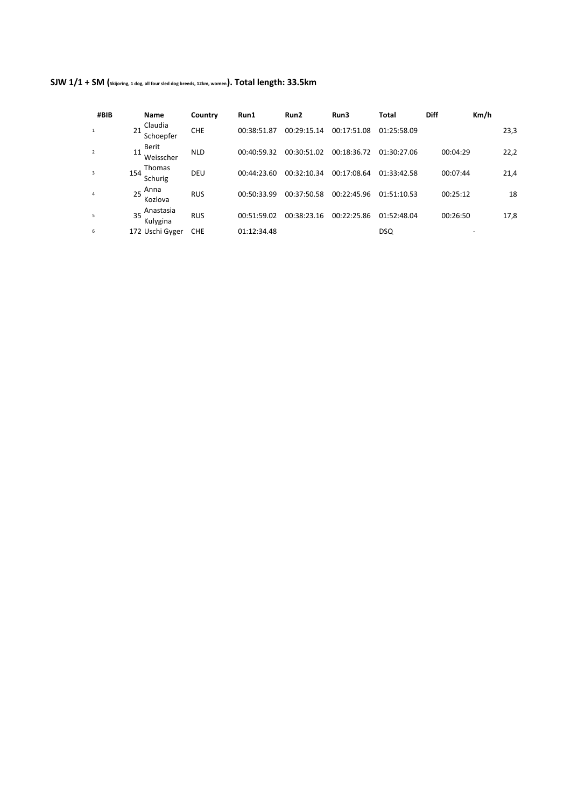|  | SJW 1/1 + SM (skijoring, 1 dog, all four sled dog breeds, 12km, women). Total length: 33.5km |  |  |
|--|----------------------------------------------------------------------------------------------|--|--|
|--|----------------------------------------------------------------------------------------------|--|--|

| #BIB           | <b>Name</b>                     | Country    | Run1        | Run2        | Run3        | Total       | <b>Diff</b> | Km/h |
|----------------|---------------------------------|------------|-------------|-------------|-------------|-------------|-------------|------|
|                | Claudia<br>21<br>Schoepfer      | <b>CHE</b> | 00:38:51.87 | 00:29:15.14 | 00:17:51.08 | 01:25:58.09 |             | 23,3 |
| $\overline{2}$ | Berit<br>11<br>Weisscher        | <b>NLD</b> | 00:40:59.32 | 00:30:51.02 | 00:18:36.72 | 01:30:27.06 | 00:04:29    | 22,2 |
| 3              | <b>Thomas</b><br>154<br>Schurig | DEU        | 00:44:23.60 | 00:32:10.34 | 00:17:08.64 | 01:33:42.58 | 00:07:44    | 21,4 |
| 4              | Anna<br>25<br>Kozlova           | <b>RUS</b> | 00:50:33.99 | 00:37:50.58 | 00:22:45.96 | 01:51:10.53 | 00:25:12    | 18   |
| 5              | Anastasia<br>35<br>Kulygina     | <b>RUS</b> | 00:51:59.02 | 00:38:23.16 | 00:22:25.86 | 01:52:48.04 | 00:26:50    | 17,8 |
| 6              | 172 Uschi Gyger                 | <b>CHE</b> | 01:12:34.48 |             |             | <b>DSQ</b>  |             |      |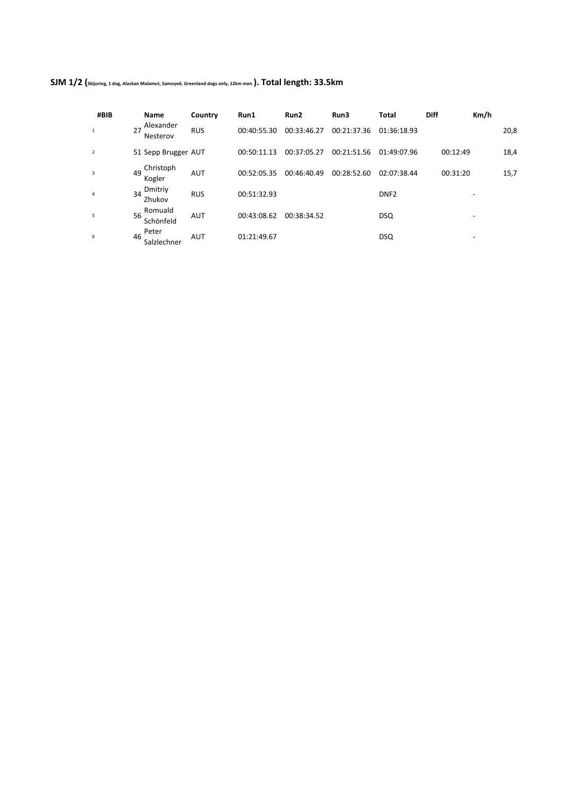| SJM 1/2 (Skijoring, 1 dog, Alaskan Malamut, Samoyed, Greenland dogs only, 12km men). Total length: 33.5km |  |  |
|-----------------------------------------------------------------------------------------------------------|--|--|
|-----------------------------------------------------------------------------------------------------------|--|--|

| #BIB                    | Name                       | Country    | Run1        | Run2        | Run3        | Total            | <b>Diff</b> | Km/h |
|-------------------------|----------------------------|------------|-------------|-------------|-------------|------------------|-------------|------|
| 1                       | Alexander<br>Nesterov      | <b>RUS</b> | 00:40:55.30 | 00:33:46.27 | 00:21:37.36 | 01:36:18.93      |             | 20,8 |
| $\overline{2}$          | 51 Sepp Brugger AUT        |            | 00:50:11.13 | 00:37:05.27 | 00:21:51.56 | 01:49:07.96      | 00:12:49    | 18,4 |
| $\overline{\mathbf{3}}$ | Christoph<br>49<br>Kogler  | <b>AUT</b> | 00:52:05.35 | 00:46:40.49 | 00:28:52.60 | 02:07:38.44      | 00:31:20    | 15,7 |
| $\overline{4}$          | Dmitriy<br>34<br>Zhukov    | <b>RUS</b> | 00:51:32.93 |             |             | DNF <sub>2</sub> |             |      |
| 5                       | Romuald<br>56<br>Schönfeld | <b>AUT</b> | 00:43:08.62 | 00:38:34.52 |             | <b>DSQ</b>       |             | -    |
| 6                       | Peter<br>46<br>Salzlechner | <b>AUT</b> | 01:21:49.67 |             |             | <b>DSQ</b>       |             | -    |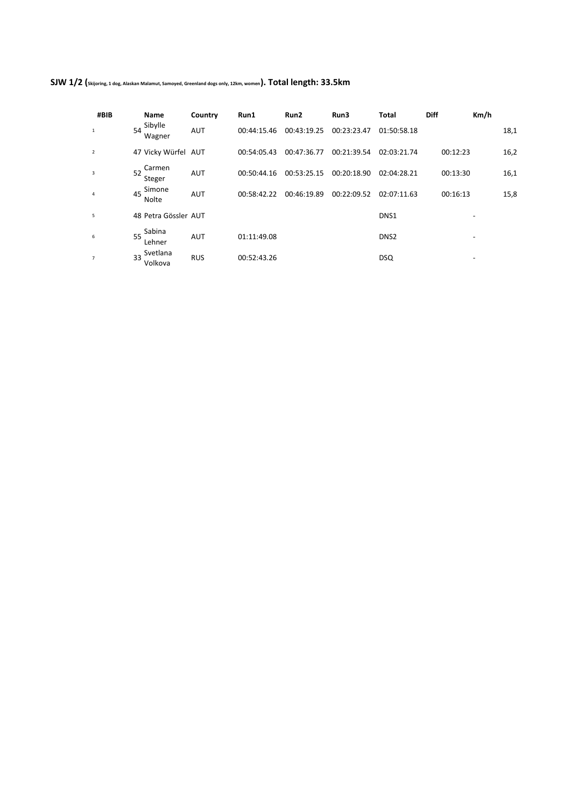| SJW 1/2 (skijoring, 1 dog, Alaskan Malamut, Samoyed, Greenland dogs only, 12km, women). Total length: 33.5km |  |  |  |  |  |  |
|--------------------------------------------------------------------------------------------------------------|--|--|--|--|--|--|
|--------------------------------------------------------------------------------------------------------------|--|--|--|--|--|--|

| #BIB                    | Name                      | Country    | Run1        | Run2        | Run3        | <b>Total</b>     | <b>Diff</b> | Km/h |
|-------------------------|---------------------------|------------|-------------|-------------|-------------|------------------|-------------|------|
| 1                       | Sibylle<br>54<br>Wagner   | <b>AUT</b> | 00:44:15.46 | 00:43:19.25 | 00:23:23.47 | 01:50:58.18      |             | 18,1 |
| $\overline{2}$          | 47 Vicky Würfel AUT       |            | 00:54:05.43 | 00:47:36.77 | 00:21:39.54 | 02:03:21.74      | 00:12:23    | 16,2 |
| $\overline{\mathbf{3}}$ | Carmen<br>52<br>Steger    | <b>AUT</b> | 00:50:44.16 | 00:53:25.15 | 00:20:18.90 | 02:04:28.21      | 00:13:30    | 16,1 |
| $\overline{4}$          | Simone<br>45<br>Nolte     | <b>AUT</b> | 00:58:42.22 | 00:46:19.89 | 00:22:09.52 | 02:07:11.63      | 00:16:13    | 15,8 |
| 5                       | 48 Petra Gössler AUT      |            |             |             |             | DNS <sub>1</sub> |             |      |
| 6                       | Sabina<br>55<br>Lehner    | <b>AUT</b> | 01:11:49.08 |             |             | DNS <sub>2</sub> |             | -    |
| $\overline{7}$          | Svetlana<br>33<br>Volkova | <b>RUS</b> | 00:52:43.26 |             |             | <b>DSQ</b>       |             |      |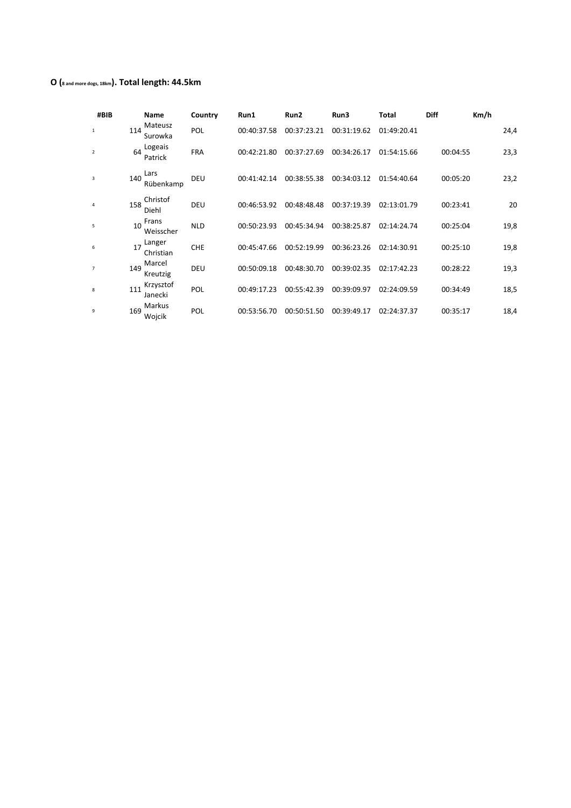## **O (8 and more dogs, 18km). Total length: 44.5km**

| #BIB           | <b>Name</b>                 |            | Country | Run1        | Run <sub>2</sub> | Run3        | Total       | <b>Diff</b> | Km/h |
|----------------|-----------------------------|------------|---------|-------------|------------------|-------------|-------------|-------------|------|
| 1              | Mateusz<br>114<br>Surowka   | POL        |         | 00:40:37.58 | 00:37:23.21      | 00:31:19.62 | 01:49:20.41 |             | 24,4 |
| $\overline{2}$ | Logeais<br>64<br>Patrick    | <b>FRA</b> |         | 00:42:21.80 | 00:37:27.69      | 00:34:26.17 | 01:54:15.66 | 00:04:55    | 23,3 |
| 3              | Lars<br>140<br>Rübenkamp    | DEU        |         | 00:41:42.14 | 00:38:55.38      | 00:34:03.12 | 01:54:40.64 | 00:05:20    | 23,2 |
| 4              | Christof<br>158<br>Diehl    | DEU        |         | 00:46:53.92 | 00:48:48.48      | 00:37:19.39 | 02:13:01.79 | 00:23:41    | 20   |
| 5              | Frans<br>10<br>Weisscher    | <b>NLD</b> |         | 00:50:23.93 | 00:45:34.94      | 00:38:25.87 | 02:14:24.74 | 00:25:04    | 19,8 |
| 6              | Langer<br>17<br>Christian   | <b>CHE</b> |         | 00:45:47.66 | 00:52:19.99      | 00:36:23.26 | 02:14:30.91 | 00:25:10    | 19,8 |
| $\overline{7}$ | Marcel<br>149<br>Kreutzig   | DEU        |         | 00:50:09.18 | 00:48:30.70      | 00:39:02.35 | 02:17:42.23 | 00:28:22    | 19,3 |
| 8              | Krzysztof<br>111<br>Janecki | POL        |         | 00:49:17.23 | 00:55:42.39      | 00:39:09.97 | 02:24:09.59 | 00:34:49    | 18,5 |
| 9              | Markus<br>169<br>Wojcik     | POL        |         | 00:53:56.70 | 00:50:51.50      | 00:39:49.17 | 02:24:37.37 | 00:35:17    | 18,4 |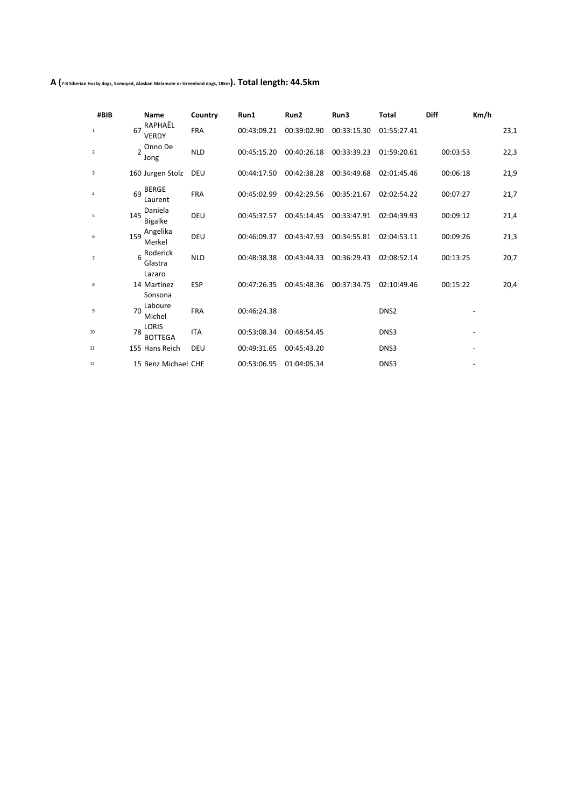**A (7-8 Siberian Husky dogs, Samoyed, Alaskan Malamute or Greenland dogs, 18km). Total length: 44.5km**

| #BIB           |     | <b>Name</b>                      | Country    | Run1        | Run2        | Run3        | Total            | <b>Diff</b> | Km/h |
|----------------|-----|----------------------------------|------------|-------------|-------------|-------------|------------------|-------------|------|
| $\mathbf{1}$   | 67  | RAPHAËL<br><b>VERDY</b>          | <b>FRA</b> | 00:43:09.21 | 00:39:02.90 | 00:33:15.30 | 01:55:27.41      |             | 23,1 |
| $\overline{2}$ |     | 2 Onno De<br>Jong                | <b>NLD</b> | 00:45:15.20 | 00:40:26.18 | 00:33:39.23 | 01:59:20.61      | 00:03:53    | 22,3 |
| 3              |     | 160 Jurgen Stolz                 | DEU        | 00:44:17.50 | 00:42:38.28 | 00:34:49.68 | 02:01:45.46      | 00:06:18    | 21,9 |
| 4              | 69  | <b>BERGE</b><br>Laurent          | <b>FRA</b> | 00:45:02.99 | 00:42:29.56 | 00:35:21.67 | 02:02:54.22      | 00:07:27    | 21,7 |
| 5              | 145 | Daniela<br><b>Bigalke</b>        | DEU        | 00:45:37.57 | 00:45:14.45 | 00:33:47.91 | 02:04:39.93      | 00:09:12    | 21,4 |
| 6              | 159 | Angelika<br>Merkel               | DEU        | 00:46:09.37 | 00:43:47.93 | 00:34:55.81 | 02:04:53.11      | 00:09:26    | 21,3 |
| $\overline{7}$ | 6   | Roderick<br>Glastra              | <b>NLD</b> | 00:48:38.38 | 00:43:44.33 | 00:36:29.43 | 02:08:52.14      | 00:13:25    | 20,7 |
| 8              |     | Lazaro<br>14 Martínez<br>Sonsona | <b>ESP</b> | 00:47:26.35 | 00:45:48.36 | 00:37:34.75 | 02:10:49.46      | 00:15:22    | 20,4 |
| 9              | 70  | Laboure<br>Michel                | <b>FRA</b> | 00:46:24.38 |             |             | DNS <sub>2</sub> |             |      |
| 10             | 78  | LORIS<br><b>BOTTEGA</b>          | <b>ITA</b> | 00:53:08.34 | 00:48:54.45 |             | DNS3             |             |      |
| 11             |     | 155 Hans Reich                   | DEU        | 00:49:31.65 | 00:45:43.20 |             | DNS3             |             |      |
| 12             |     | 15 Benz Michael CHE              |            | 00:53:06.95 | 01:04:05.34 |             | DNS3             |             |      |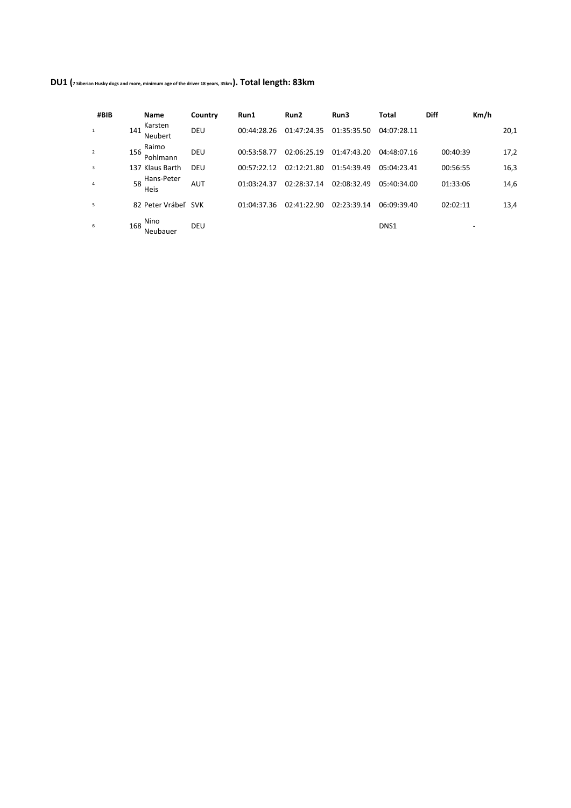**DU1 (7 Siberian Husky dogs and more, minimum age of the driver 18 years, 35km). Total length: 83km**

| #BIB           |     | <b>Name</b>         | Country    | Run1        | Run2        | Run3        | Total            | <b>Diff</b> | Km/h |      |
|----------------|-----|---------------------|------------|-------------|-------------|-------------|------------------|-------------|------|------|
|                | 141 | Karsten<br>Neubert  | DEU        | 00:44:28.26 | 01:47:24.35 | 01:35:35.50 | 04:07:28.11      |             |      | 20,1 |
| $\overline{2}$ | 156 | Raimo<br>Pohlmann   | DEU        | 00:53:58.77 | 02:06:25.19 | 01:47:43.20 | 04:48:07.16      | 00:40:39    |      | 17,2 |
| 3              |     | 137 Klaus Barth     | <b>DEU</b> | 00:57:22.12 | 02:12:21.80 | 01:54:39.49 | 05:04:23.41      | 00:56:55    |      | 16,3 |
| 4              | 58  | Hans-Peter<br>Heis  | <b>AUT</b> | 01:03:24.37 | 02:28:37.14 | 02:08:32.49 | 05:40:34.00      | 01:33:06    |      | 14,6 |
| 5              |     | 82 Peter Vrábeľ SVK |            | 01:04:37.36 | 02:41:22.90 | 02:23:39.14 | 06:09:39.40      | 02:02:11    |      | 13,4 |
| 6              | 168 | Nino<br>Neubauer    | DEU        |             |             |             | DNS <sub>1</sub> |             |      |      |